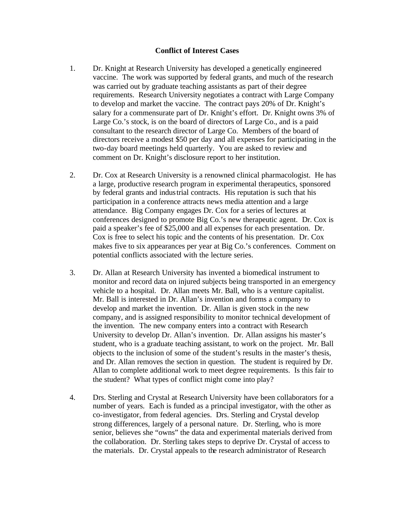## **Conflict of Interest Cases**

- 1. Dr. Knight at Research University has developed a genetically engineered vaccine. The work was supported by federal grants, and much of the research was carried out by graduate teaching assistants as part of their degree requirements. Research University negotiates a contract with Large Company to develop and market the vaccine. The contract pays 20% of Dr. Knight's salary for a commensurate part of Dr. Knight's effort. Dr. Knight owns 3% of Large Co.'s stock, is on the board of directors of Large Co., and is a paid consultant to the research director of Large Co. Members of the board of directors receive a modest \$50 per day and all expenses for participating in the two-day board meetings held quarterly. You are asked to review and comment on Dr. Knight's disclosure report to her institution.
- 2. Dr. Cox at Research University is a renowned clinical pharmacologist. He has a large, productive research program in experimental therapeutics, sponsored by federal grants and industrial contracts. His reputation is such that his participation in a conference attracts news media attention and a large attendance. Big Company engages Dr. Cox for a series of lectures at conferences designed to promote Big Co.'s new therapeutic agent. Dr. Cox is paid a speaker's fee of \$25,000 and all expenses for each presentation. Dr. Cox is free to select his topic and the contents of his presentation. Dr. Cox makes five to six appearances per year at Big Co.'s conferences. Comment on potential conflicts associated with the lecture series.
- 3. Dr. Allan at Research University has invented a biomedical instrument to monitor and record data on injured subjects being transported in an emergency vehicle to a hospital. Dr. Allan meets Mr. Ball, who is a venture capitalist. Mr. Ball is interested in Dr. Allan's invention and forms a company to develop and market the invention. Dr. Allan is given stock in the new company, and is assigned responsibility to monitor technical development of the invention. The new company enters into a contract with Research University to develop Dr. Allan's invention. Dr. Allan assigns his master's student, who is a graduate teaching assistant, to work on the project. Mr. Ball objects to the inclusion of some of the student's results in the master's thesis, and Dr. Allan removes the section in question. The student is required by Dr. Allan to complete additional work to meet degree requirements. Is this fair to the student? What types of conflict might come into play?
- 4. Drs. Sterling and Crystal at Research University have been collaborators for a number of years. Each is funded as a principal investigator, with the other as co-investigator, from federal agencies. Drs. Sterling and Crystal develop strong differences, largely of a personal nature. Dr. Sterling, who is more senior, believes she "owns" the data and experimental materials derived from the collaboration. Dr. Sterling takes steps to deprive Dr. Crystal of access to the materials. Dr. Crystal appeals to the research administrator of Research